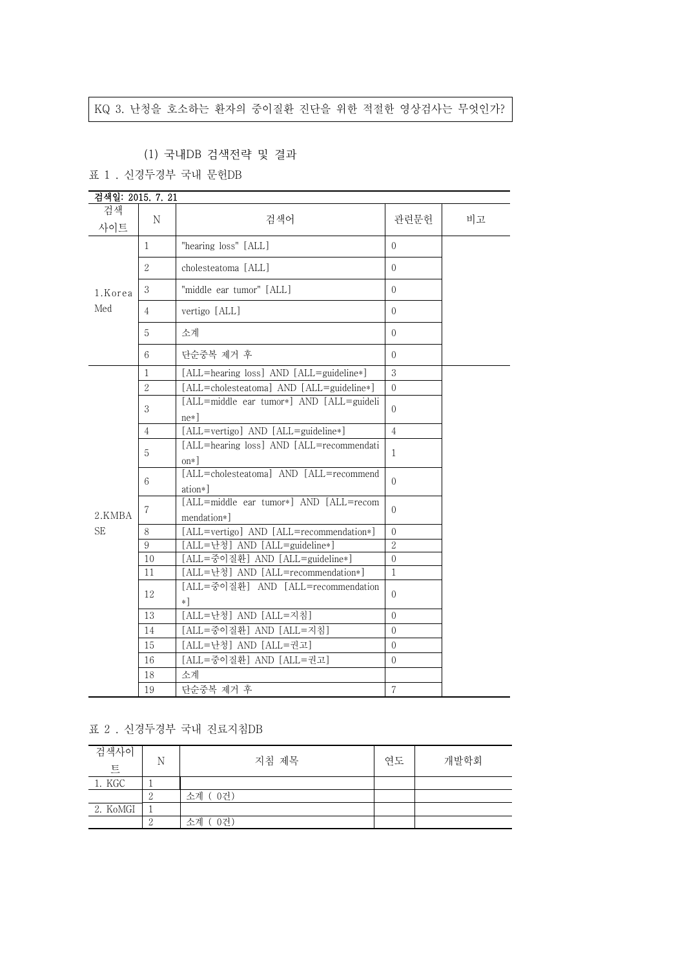# KQ 3. 난청을 호소하는 환자의 중이질환 진단을 위한 적절한 영상검사는 무엇인가?

## (1) 국내DB 검색전략 및 결과

표 1 . 신경두경부 국내 문헌DB

| 검색일: 2015, 7, 21    |                |                                                               |                |    |
|---------------------|----------------|---------------------------------------------------------------|----------------|----|
| 검색<br>사이트           | N              | 검색어                                                           | 관련문헌           | 비고 |
| 1.Korea<br>Med      | $\mathbf{1}$   | "hearing loss" [ALL]                                          | $\Omega$       |    |
|                     | $\overline{2}$ | cholesteatoma [ALL]                                           | $\Omega$       |    |
|                     | 3              | "middle ear tumor" [ALL]                                      | $\Omega$       |    |
|                     | 4              | vertigo [ALL]                                                 | $\Omega$       |    |
|                     | 5              | 소계                                                            | $\theta$       |    |
|                     | 6              | 단순중복 제거 후                                                     | $\Omega$       |    |
|                     | 1              | [ALL=hearing loss] AND [ALL=guideline*]                       | 3              |    |
|                     | $\sqrt{2}$     | [ALL=cholesteatoma] AND [ALL=guideline*]                      | $\Omega$       |    |
|                     | 3              | [ALL=middle ear tumor*] AND [ALL=guideli                      | $\Omega$       |    |
|                     |                | $ne*$ ]                                                       |                |    |
|                     | $\overline{4}$ | [ALL=vertigo] AND [ALL=guideline*]                            | $\overline{4}$ |    |
|                     | 5              | [ALL=hearing loss] AND [ALL=recommendati<br>$_{\text{on*}}$ ] | $\mathbf{1}$   |    |
| 2.KMBA<br><b>SE</b> | 6              | [ALL=cholesteatoma] AND [ALL=recommend]<br>ation*]            | $\Omega$       |    |
|                     | 7              | [ALL=middle ear tumor*] AND [ALL=recom<br>mendation*]         | $\Omega$       |    |
|                     | 8              | [ALL=vertigo] AND [ALL=recommendation*]                       | $\Omega$       |    |
|                     | 9              | [ALL=난청] AND [ALL=guideline*]                                 | $\overline{2}$ |    |
|                     | 10             | [ALL=중이질환] AND [ALL=guideline*]                               | $\theta$       |    |
|                     | 11             | [ALL=난청] AND [ALL=recommendation*]                            | $\mathbf{1}$   |    |
|                     | 12             | [ALL=중이질환] AND [ALL=recommendation<br>$\ast$ ]                | $\Omega$       |    |
|                     | 13             | [ALL=난청] AND [ALL=지침]                                         | $\overline{0}$ |    |
|                     | 14             | [ALL=중이질환] AND [ALL=지침]                                       | $\Omega$       |    |
|                     | 15             | [ALL=난청] AND [ALL=권고]                                         | $\Omega$       |    |
|                     | 16             | [ALL=중이질환] AND [ALL=권고]                                       | $\Omega$       |    |
|                     | 18             | 소계                                                            |                |    |
|                     | 19             | 단순중복 제거 후                                                     | $\overline{7}$ |    |

#### 표 2 . 신경두경부 국내 진료지침DB

| 검색사이<br>트 | N | 지침 제목         | 연도 | 개발학회 |
|-----------|---|---------------|----|------|
| 1. KGC    |   |               |    |      |
|           |   | - 0건)<br>소계 ( |    |      |
| 2. KoMGI  |   |               |    |      |
|           | ↵ | 0건)<br>소계     |    |      |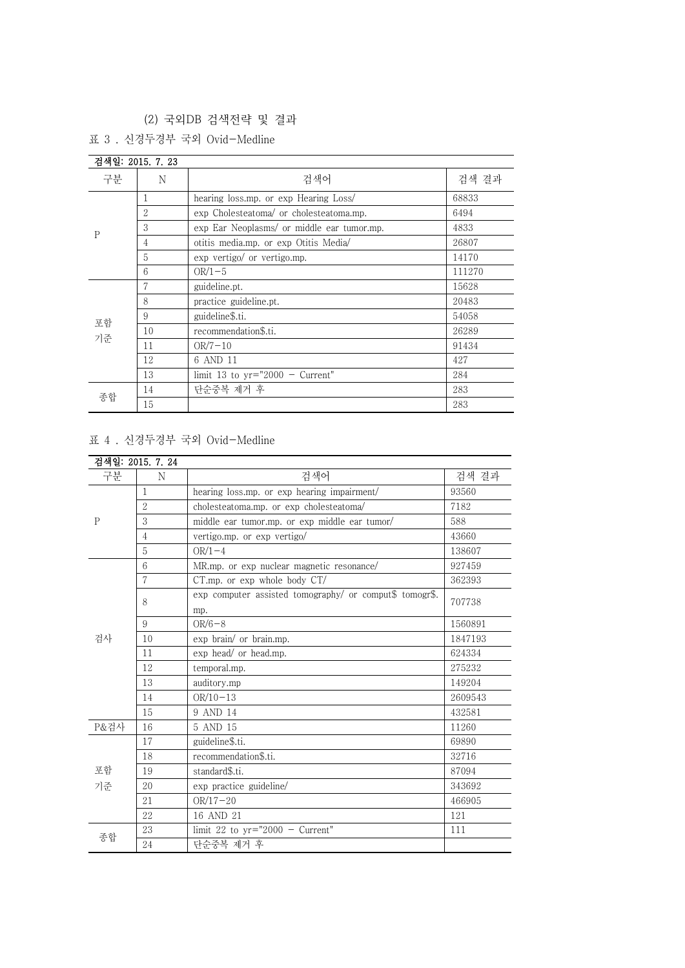# (2) 국외DB 검색전략 및 결과

표 3 . 신경두경부 국외 Ovid-Medline

| 검색일: 2015, 7, 23 |                |                                            |        |
|------------------|----------------|--------------------------------------------|--------|
| 구분               | N              | 검색어                                        | 검색 결과  |
| $\mathsf{P}$     |                | hearing loss.mp. or exp Hearing Loss/      | 68833  |
|                  | $\mathfrak{2}$ | exp Cholesteatoma/ or cholesteatoma.mp.    | 6494   |
|                  | 3              | exp Ear Neoplasms/ or middle ear tumor.mp. | 4833   |
|                  | 4              | otitis media.mp. or exp Otitis Media       | 26807  |
|                  | 5              | exp vertigo/ or vertigo.mp.                | 14170  |
|                  | 6              | $OR/1-5$                                   | 111270 |
| 포함<br>기준         |                | guideline.pt.                              | 15628  |
|                  | 8              | practice guideline.pt.                     | 20483  |
|                  | 9              | guideline\$.ti.                            | 54058  |
|                  | 10             | recommendation\$.ti.                       | 26289  |
|                  | 11             | $OR/7 - 10$                                | 91434  |
|                  | 12             | 6 AND 11                                   | 427    |
|                  | 13             | limit 13 to $yr="2000 - Current"$          | 284    |
| 종합               | 14             | 단순중복 제거 후                                  | 283    |
|                  | 15             |                                            | 283    |

## 표 4 . 신경두경부 국외 Ovid-Medline

|              | 검색일: 2015. 7. 24 |                                                         |         |  |
|--------------|------------------|---------------------------------------------------------|---------|--|
| 구분           | N                | 검색어                                                     | 검색 결과   |  |
| $\mathbf{P}$ | 1                | hearing loss.mp. or exp hearing impairment/             | 93560   |  |
|              | $\overline{2}$   | cholesteatoma.mp. or exp cholesteatoma/                 | 7182    |  |
|              | 3                | middle ear tumor.mp. or exp middle ear tumor/           | 588     |  |
|              | $\overline{4}$   | vertigo.mp. or exp vertigo/                             | 43660   |  |
|              | 5                | $OR/1-4$                                                | 138607  |  |
|              | $6\overline{6}$  | MR.mp. or exp nuclear magnetic resonance/               | 927459  |  |
|              | 7                | $CT.mp$ , or $exp$ whole body $CT/$                     | 362393  |  |
|              | 8                | exp computer assisted tomography/ or comput\$ tomogr\$. | 707738  |  |
|              |                  | mp.                                                     |         |  |
|              | 9                | $OR/6-8$                                                | 1560891 |  |
| 검사           | 10               | exp brain/ or brain.mp.                                 | 1847193 |  |
|              | 11               | exp head/ or head.mp.                                   | 624334  |  |
|              | 12               | temporal.mp.                                            | 275232  |  |
|              | 13               | auditory.mp                                             | 149204  |  |
|              | 14               | $OR/10-13$                                              | 2609543 |  |
|              | 15               | 9 AND 14                                                | 432581  |  |
| P&검사         | 16               | 5 AND 15                                                | 11260   |  |
| 포함<br>기준     | 17               | guideline\$.ti.                                         | 69890   |  |
|              | 18               | recommendation\$.ti.                                    | 32716   |  |
|              | 19               | standard\$.ti.                                          | 87094   |  |
|              | 20               | exp practice guideline/                                 | 343692  |  |
|              | 21               | $OR/17 - 20$                                            | 466905  |  |
|              | 22               | 16 AND 21                                               | 121     |  |
|              | 23               | limit 22 to $vr="2000 - Current"$                       | 111     |  |
| 종합           | 24               | 단순중복 제거 후                                               |         |  |